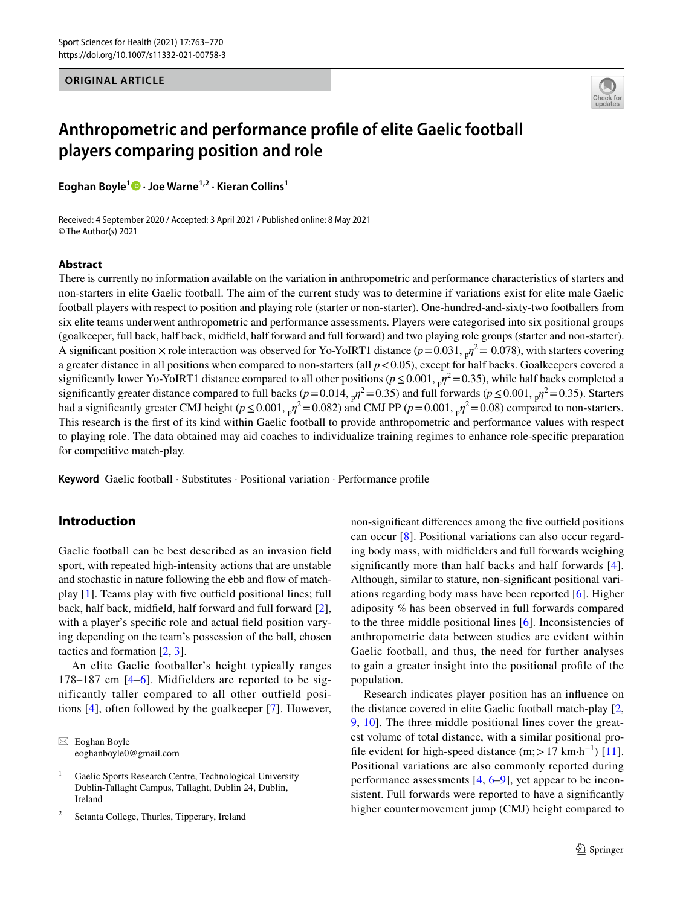**ORIGINAL ARTICLE**



# **Anthropometric and performance profle of elite Gaelic football players comparing position and role**

**Eoghan Boyle<sup>1</sup>  [·](http://orcid.org/0000-0002-8628-9882) Joe Warne1,2 · Kieran Collins1**

Received: 4 September 2020 / Accepted: 3 April 2021 / Published online: 8 May 2021 © The Author(s) 2021

#### **Abstract**

There is currently no information available on the variation in anthropometric and performance characteristics of starters and non-starters in elite Gaelic football. The aim of the current study was to determine if variations exist for elite male Gaelic football players with respect to position and playing role (starter or non-starter). One-hundred-and-sixty-two footballers from six elite teams underwent anthropometric and performance assessments. Players were categorised into six positional groups (goalkeeper, full back, half back, midfeld, half forward and full forward) and two playing role groups (starter and non-starter). A significant position  $\times$  role interaction was observed for Yo-YoIRT1 distance ( $p=0.031$ ,  $nq^2=0.078$ ), with starters covering a greater distance in all positions when compared to non-starters (all  $p < 0.05$ ), except for half backs. Goalkeepers covered a significantly lower Yo-YoIRT1 distance compared to all other positions ( $p \le 0.001$ ,  $p^2 = 0.35$ ), while half backs completed a significantly greater distance compared to full backs ( $p=0.014$ ,  $p^2=0.35$ ) and full forwards ( $p \le 0.001$ ,  $p^2=0.35$ ). Starters had a significantly greater CMJ height ( $p \le 0.001$ ,  $n^2 = 0.082$ ) and CMJ PP ( $p = 0.001$ ,  $n^2 = 0.08$ ) compared to non-starters. This research is the frst of its kind within Gaelic football to provide anthropometric and performance values with respect to playing role. The data obtained may aid coaches to individualize training regimes to enhance role-specifc preparation for competitive match-play.

**Keyword** Gaelic football · Substitutes · Positional variation · Performance profle

# **Introduction**

Gaelic football can be best described as an invasion feld sport, with repeated high-intensity actions that are unstable and stochastic in nature following the ebb and flow of matchplay [\[1](#page-7-0)]. Teams play with fve outfeld positional lines; full back, half back, midfeld, half forward and full forward [\[2](#page-7-1)], with a player's specific role and actual field position varying depending on the team's possession of the ball, chosen tactics and formation [[2](#page-7-1), [3](#page-7-2)].

An elite Gaelic footballer's height typically ranges 178–187 cm [[4](#page-7-3)[–6\]](#page-7-4). Midfielders are reported to be significantly taller compared to all other outfield positions [[4\]](#page-7-3), often followed by the goalkeeper [[7\]](#page-7-5). However,

 $\boxtimes$  Eoghan Boyle eoghanboyle0@gmail.com

Setanta College, Thurles, Tipperary, Ireland

non-signifcant diferences among the fve outfeld positions can occur [\[8](#page-7-6)]. Positional variations can also occur regarding body mass, with midfelders and full forwards weighing significantly more than half backs and half forwards [[4](#page-7-3)]. Although, similar to stature, non-signifcant positional variations regarding body mass have been reported [[6\]](#page-7-4). Higher adiposity % has been observed in full forwards compared to the three middle positional lines [\[6](#page-7-4)]. Inconsistencies of anthropometric data between studies are evident within Gaelic football, and thus, the need for further analyses to gain a greater insight into the positional profle of the population.

Research indicates player position has an infuence on the distance covered in elite Gaelic football match-play [[2,](#page-7-1) [9](#page-7-7), [10](#page-7-8)]. The three middle positional lines cover the greatest volume of total distance, with a similar positional pro-file evident for high-speed distance (m; > 17 km·h<sup>-1</sup>) [\[11](#page-7-9)]. Positional variations are also commonly reported during performance assessments [[4,](#page-7-3) [6](#page-7-4)[–9](#page-7-7)], yet appear to be inconsistent. Full forwards were reported to have a signifcantly higher countermovement jump (CMJ) height compared to

<sup>&</sup>lt;sup>1</sup> Gaelic Sports Research Centre, Technological University Dublin-Tallaght Campus, Tallaght, Dublin 24, Dublin, Ireland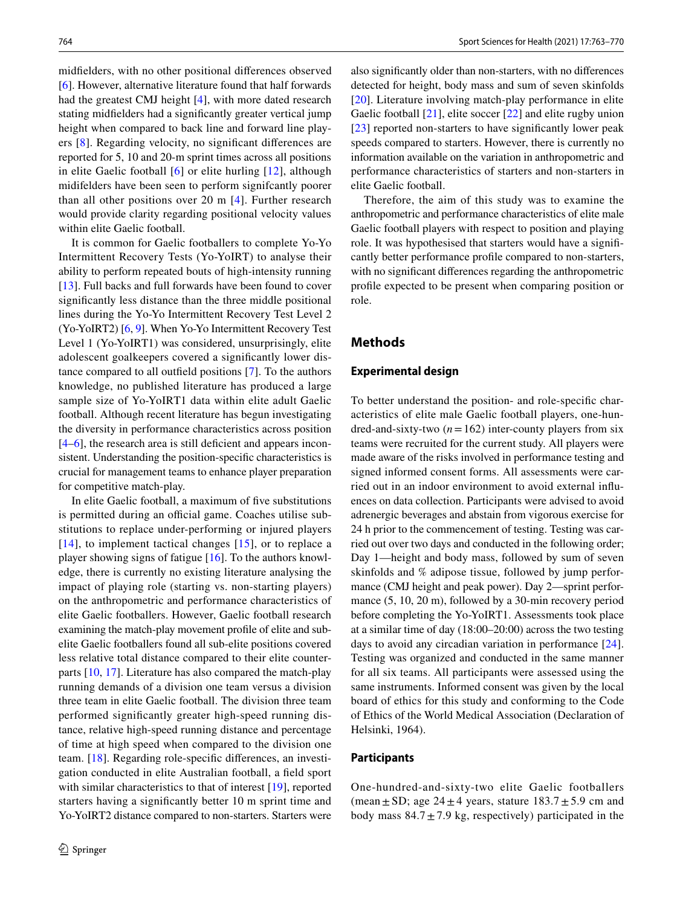midfelders, with no other positional diferences observed [\[6](#page-7-4)]. However, alternative literature found that half forwards had the greatest CMJ height [\[4](#page-7-3)], with more dated research stating midfelders had a signifcantly greater vertical jump height when compared to back line and forward line players [[8\]](#page-7-6). Regarding velocity, no signifcant diferences are reported for 5, 10 and 20-m sprint times across all positions in elite Gaelic football [[6](#page-7-4)] or elite hurling [\[12\]](#page-7-10), although midifelders have been seen to perform signifcantly poorer than all other positions over 20 m [[4\]](#page-7-3). Further research would provide clarity regarding positional velocity values within elite Gaelic football.

It is common for Gaelic footballers to complete Yo-Yo Intermittent Recovery Tests (Yo-YoIRT) to analyse their ability to perform repeated bouts of high-intensity running [\[13\]](#page-7-11). Full backs and full forwards have been found to cover signifcantly less distance than the three middle positional lines during the Yo-Yo Intermittent Recovery Test Level 2 (Yo-YoIRT2) [[6,](#page-7-4) [9](#page-7-7)]. When Yo-Yo Intermittent Recovery Test Level 1 (Yo-YoIRT1) was considered, unsurprisingly, elite adolescent goalkeepers covered a signifcantly lower distance compared to all outfeld positions [[7](#page-7-5)]. To the authors knowledge, no published literature has produced a large sample size of Yo-YoIRT1 data within elite adult Gaelic football. Although recent literature has begun investigating the diversity in performance characteristics across position [\[4](#page-7-3)–[6\]](#page-7-4), the research area is still deficient and appears inconsistent. Understanding the position-specifc characteristics is crucial for management teams to enhance player preparation for competitive match-play.

In elite Gaelic football, a maximum of fve substitutions is permitted during an official game. Coaches utilise substitutions to replace under-performing or injured players [[14\]](#page-7-12), to implement tactical changes [[15](#page-7-13)], or to replace a player showing signs of fatigue [\[16](#page-7-14)]. To the authors knowledge, there is currently no existing literature analysing the impact of playing role (starting vs. non-starting players) on the anthropometric and performance characteristics of elite Gaelic footballers. However, Gaelic football research examining the match-play movement profle of elite and subelite Gaelic footballers found all sub-elite positions covered less relative total distance compared to their elite counterparts [[10,](#page-7-8) [17\]](#page-7-15). Literature has also compared the match-play running demands of a division one team versus a division three team in elite Gaelic football. The division three team performed signifcantly greater high-speed running distance, relative high-speed running distance and percentage of time at high speed when compared to the division one team. [[18\]](#page-7-16). Regarding role-specifc diferences, an investigation conducted in elite Australian football, a feld sport with similar characteristics to that of interest [[19\]](#page-7-17), reported starters having a signifcantly better 10 m sprint time and Yo-YoIRT2 distance compared to non-starters. Starters were also signifcantly older than non-starters, with no diferences detected for height, body mass and sum of seven skinfolds [[20\]](#page-7-18). Literature involving match-play performance in elite Gaelic football [[21](#page-7-19)], elite soccer [\[22](#page-7-20)] and elite rugby union [[23\]](#page-7-21) reported non-starters to have signifcantly lower peak speeds compared to starters. However, there is currently no information available on the variation in anthropometric and performance characteristics of starters and non-starters in elite Gaelic football.

Therefore, the aim of this study was to examine the anthropometric and performance characteristics of elite male Gaelic football players with respect to position and playing role. It was hypothesised that starters would have a signifcantly better performance profle compared to non-starters, with no signifcant diferences regarding the anthropometric profle expected to be present when comparing position or role.

# **Methods**

#### **Experimental design**

To better understand the position- and role-specifc characteristics of elite male Gaelic football players, one-hundred-and-sixty-two  $(n=162)$  inter-county players from six teams were recruited for the current study. All players were made aware of the risks involved in performance testing and signed informed consent forms. All assessments were carried out in an indoor environment to avoid external infuences on data collection. Participants were advised to avoid adrenergic beverages and abstain from vigorous exercise for 24 h prior to the commencement of testing. Testing was carried out over two days and conducted in the following order; Day 1—height and body mass, followed by sum of seven skinfolds and % adipose tissue, followed by jump performance (CMJ height and peak power). Day 2—sprint performance (5, 10, 20 m), followed by a 30-min recovery period before completing the Yo-YoIRT1. Assessments took place at a similar time of day (18:00–20:00) across the two testing days to avoid any circadian variation in performance [\[24](#page-7-22)]. Testing was organized and conducted in the same manner for all six teams. All participants were assessed using the same instruments. Informed consent was given by the local board of ethics for this study and conforming to the Code of Ethics of the World Medical Association (Declaration of Helsinki, 1964).

## **Participants**

One-hundred-and-sixty-two elite Gaelic footballers (mean  $\pm$  SD; age 24  $\pm$  4 years, stature 183.7  $\pm$  5.9 cm and body mass  $84.7 \pm 7.9$  kg, respectively) participated in the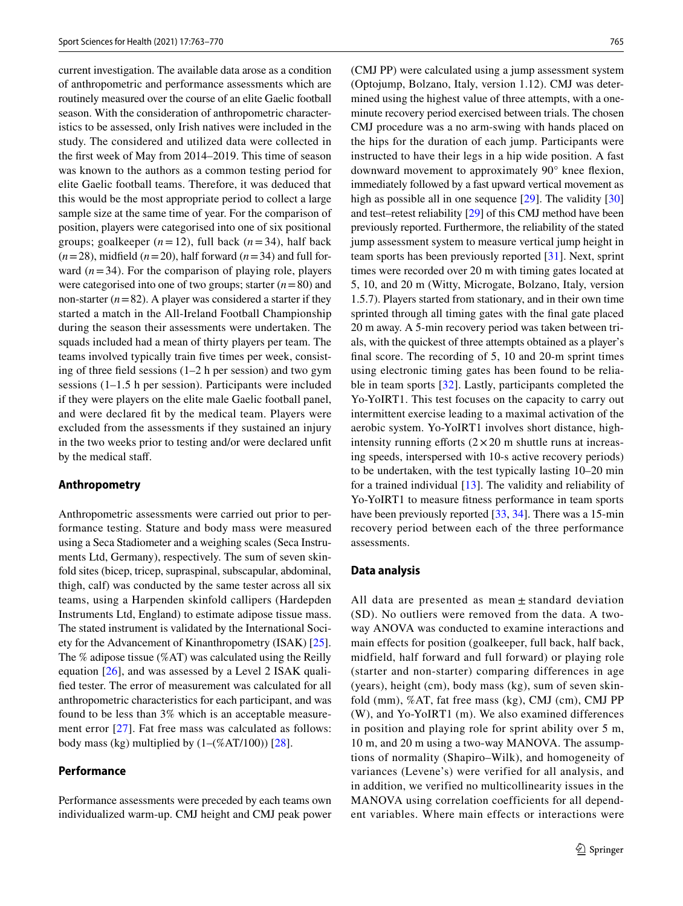current investigation. The available data arose as a condition of anthropometric and performance assessments which are routinely measured over the course of an elite Gaelic football season. With the consideration of anthropometric characteristics to be assessed, only Irish natives were included in the study. The considered and utilized data were collected in the frst week of May from 2014–2019. This time of season was known to the authors as a common testing period for elite Gaelic football teams. Therefore, it was deduced that this would be the most appropriate period to collect a large sample size at the same time of year. For the comparison of position, players were categorised into one of six positional groups; goalkeeper  $(n=12)$ , full back  $(n=34)$ , half back  $(n=28)$ , midfield  $(n=20)$ , half forward  $(n=34)$  and full forward  $(n=34)$ . For the comparison of playing role, players were categorised into one of two groups; starter (*n*=80) and non-starter  $(n=82)$ . A player was considered a starter if they started a match in the All-Ireland Football Championship during the season their assessments were undertaken. The squads included had a mean of thirty players per team. The teams involved typically train fve times per week, consisting of three feld sessions (1–2 h per session) and two gym sessions (1–1.5 h per session). Participants were included if they were players on the elite male Gaelic football panel, and were declared ft by the medical team. Players were excluded from the assessments if they sustained an injury in the two weeks prior to testing and/or were declared unft by the medical staf.

#### **Anthropometry**

Anthropometric assessments were carried out prior to performance testing. Stature and body mass were measured using a Seca Stadiometer and a weighing scales (Seca Instruments Ltd, Germany), respectively. The sum of seven skinfold sites (bicep, tricep, supraspinal, subscapular, abdominal, thigh, calf) was conducted by the same tester across all six teams, using a Harpenden skinfold callipers (Hardepden Instruments Ltd, England) to estimate adipose tissue mass. The stated instrument is validated by the International Society for the Advancement of Kinanthropometry (ISAK) [\[25](#page-7-23)]. The % adipose tissue (%AT) was calculated using the Reilly equation [\[26\]](#page-7-24), and was assessed by a Level 2 ISAK qualifed tester. The error of measurement was calculated for all anthropometric characteristics for each participant, and was found to be less than 3% which is an acceptable measure-ment error [[27](#page-7-25)]. Fat free mass was calculated as follows: body mass (kg) multiplied by  $(1-(%AT/100))$  [[28\]](#page-7-26).

# **Performance**

Performance assessments were preceded by each teams own individualized warm-up. CMJ height and CMJ peak power (CMJ PP) were calculated using a jump assessment system (Optojump, Bolzano, Italy, version 1.12). CMJ was determined using the highest value of three attempts, with a oneminute recovery period exercised between trials. The chosen CMJ procedure was a no arm-swing with hands placed on the hips for the duration of each jump. Participants were instructed to have their legs in a hip wide position. A fast downward movement to approximately 90° knee fexion, immediately followed by a fast upward vertical movement as high as possible all in one sequence [\[29](#page-7-27)]. The validity [[30\]](#page-7-28) and test–retest reliability [[29\]](#page-7-27) of this CMJ method have been previously reported. Furthermore, the reliability of the stated jump assessment system to measure vertical jump height in team sports has been previously reported [[31](#page-7-29)]. Next, sprint times were recorded over 20 m with timing gates located at 5, 10, and 20 m (Witty, Microgate, Bolzano, Italy, version 1.5.7). Players started from stationary, and in their own time sprinted through all timing gates with the fnal gate placed 20 m away. A 5-min recovery period was taken between trials, with the quickest of three attempts obtained as a player's fnal score. The recording of 5, 10 and 20-m sprint times using electronic timing gates has been found to be reliable in team sports [[32](#page-7-30)]. Lastly, participants completed the Yo-YoIRT1. This test focuses on the capacity to carry out intermittent exercise leading to a maximal activation of the aerobic system. Yo-YoIRT1 involves short distance, highintensity running efforts  $(2 \times 20 \text{ m} \text{ shuttle runs at increase})$ ing speeds, interspersed with 10-s active recovery periods) to be undertaken, with the test typically lasting 10–20 min for a trained individual [[13\]](#page-7-11). The validity and reliability of Yo-YoIRT1 to measure ftness performance in team sports have been previously reported [[33](#page-7-31), [34\]](#page-7-32). There was a 15-min recovery period between each of the three performance assessments.

## **Data analysis**

All data are presented as mean  $\pm$  standard deviation (SD). No outliers were removed from the data. A twoway ANOVA was conducted to examine interactions and main effects for position (goalkeeper, full back, half back, midfield, half forward and full forward) or playing role (starter and non-starter) comparing differences in age (years), height (cm), body mass (kg), sum of seven skinfold (mm), %AT, fat free mass (kg), CMJ (cm), CMJ PP (W), and Yo-YoIRT1 (m). We also examined differences in position and playing role for sprint ability over 5 m, 10 m, and 20 m using a two-way MANOVA. The assumptions of normality (Shapiro–Wilk), and homogeneity of variances (Levene's) were verified for all analysis, and in addition, we verified no multicollinearity issues in the MANOVA using correlation coefficients for all dependent variables. Where main effects or interactions were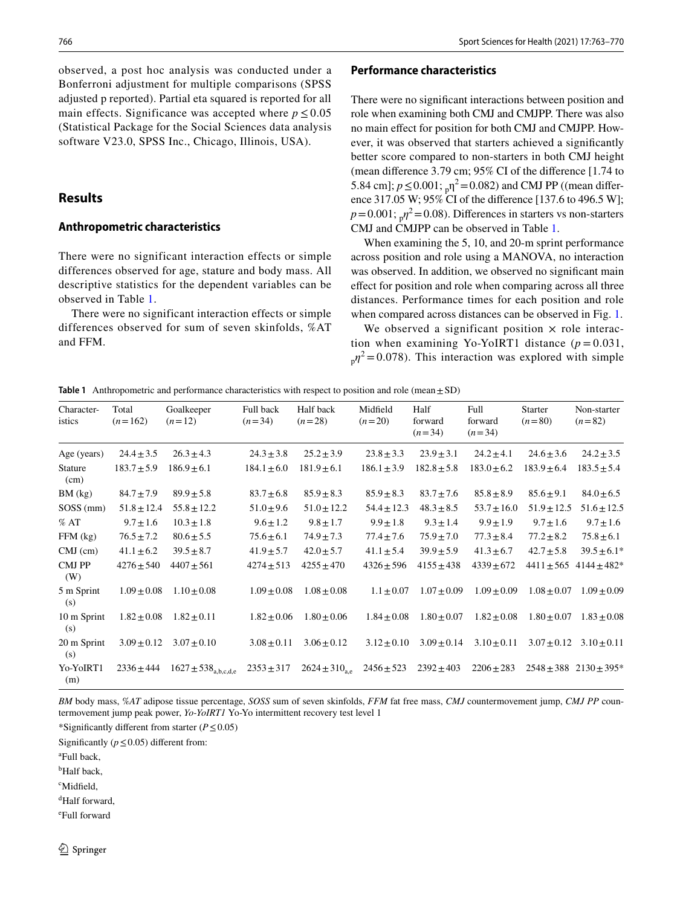observed, a post hoc analysis was conducted under a Bonferroni adjustment for multiple comparisons (SPSS adjusted p reported). Partial eta squared is reported for all main effects. Significance was accepted where  $p \le 0.05$ (Statistical Package for the Social Sciences data analysis software V23.0, SPSS Inc., Chicago, Illinois, USA).

# **Results**

## **Anthropometric characteristics**

There were no significant interaction effects or simple differences observed for age, stature and body mass. All descriptive statistics for the dependent variables can be observed in Table [1](#page-3-0).

There were no significant interaction effects or simple differences observed for sum of seven skinfolds, %AT and FFM.

#### **Performance characteristics**

There were no signifcant interactions between position and role when examining both CMJ and CMJPP. There was also no main efect for position for both CMJ and CMJPP. However, it was observed that starters achieved a signifcantly better score compared to non-starters in both CMJ height (mean diference 3.79 cm; 95% CI of the diference [1.74 to 5.84 cm];  $p \le 0.001$ ;  $_{p}$  $\eta^{2} = 0.082$ ) and CMJ PP ((mean difference 317.05 W; 95% CI of the diference [137.6 to 496.5 W];  $p=0.001$ ;  $n^2=0.08$ ). Differences in starters vs non-starters CMJ and CMJPP can be observed in Table [1.](#page-3-0)

When examining the 5, 10, and 20-m sprint performance across position and role using a MANOVA, no interaction was observed. In addition, we observed no significant main efect for position and role when comparing across all three distances. Performance times for each position and role when compared across distances can be observed in Fig. [1.](#page-4-0)

We observed a significant position  $\times$  role interaction when examining Yo-YoIRT1 distance  $(p = 0.031,$  $n_p \eta^2$  = 0.078). This interaction was explored with simple

<span id="page-3-0"></span>**Table 1** Anthropometric and performance characteristics with respect to position and role (mean $\pm$ SD)

| Character-<br>istics   | Total<br>$(n=162)$ | Goalkeeper<br>$(n=12)$              | Full back<br>$(n=34)$ | Half back<br>$(n=28)$       | Midfield<br>$(n=20)$ | Half<br>forward<br>$(n=34)$ | Full<br>forward<br>$(n=34)$ | <b>Starter</b><br>$(n=80)$ | Non-starter<br>$(n=82)$         |
|------------------------|--------------------|-------------------------------------|-----------------------|-----------------------------|----------------------|-----------------------------|-----------------------------|----------------------------|---------------------------------|
|                        |                    |                                     |                       |                             |                      |                             |                             |                            |                                 |
| Age (years)            | $24.4 \pm 3.5$     | $26.3 \pm 4.3$                      | $24.3 \pm 3.8$        | $25.2 \pm 3.9$              | $23.8 \pm 3.3$       | $23.9 \pm 3.1$              | $24.2 \pm 4.1$              | $24.6 \pm 3.6$             | $24.2 \pm 3.5$                  |
| <b>Stature</b><br>(cm) | $183.7 \pm 5.9$    | $186.9 \pm 6.1$                     | $184.1 \pm 6.0$       | $181.9 \pm 6.1$             | $186.1 \pm 3.9$      | $182.8 \pm 5.8$             | $183.0 \pm 6.2$             | $183.9 \pm 6.4$            | $183.5 \pm 5.4$                 |
| BM (kg)                | $84.7 \pm 7.9$     | $89.9 \pm 5.8$                      | $83.7 \pm 6.8$        | $85.9 \pm 8.3$              | $85.9 \pm 8.3$       | $83.7 \pm 7.6$              | $85.8 \pm 8.9$              | $85.6 \pm 9.1$             | $84.0 \pm 6.5$                  |
| $SOSS$ (mm)            | $51.8 \pm 12.4$    | $55.8 \pm 12.2$                     | $51.0 \pm 9.6$        | $51.0 \pm 12.2$             | $54.4 \pm 12.3$      | $48.3 \pm 8.5$              | $53.7 \pm 16.0$             | $51.9 \pm 12.5$            | $51.6 \pm 12.5$                 |
| %AT                    | $9.7 \pm 1.6$      | $10.3 \pm 1.8$                      | $9.6 \pm 1.2$         | $9.8 \pm 1.7$               | $9.9 \pm 1.8$        | $9.3 \pm 1.4$               | $9.9 \pm 1.9$               | $9.7 \pm 1.6$              | $9.7 \pm 1.6$                   |
| $FFM$ (kg)             | $76.5 \pm 7.2$     | $80.6 \pm 5.5$                      | $75.6 \pm 6.1$        | $74.9 \pm 7.3$              | $77.4 \pm 7.6$       | $75.9 \pm 7.0$              | $77.3 \pm 8.4$              | $77.2 \pm 8.2$             | $75.8 \pm 6.1$                  |
| $CMJ$ (cm)             | $41.1 \pm 6.2$     | $39.5 \pm 8.7$                      | $41.9 \pm 5.7$        | $42.0 \pm 5.7$              | $41.1 \pm 5.4$       | $39.9 \pm 5.9$              | $41.3 \pm 6.7$              | $42.7 \pm 5.8$             | $39.5 \pm 6.1*$                 |
| <b>CMJPP</b><br>(W)    | $4276 \pm 540$     | $4407 \pm 561$                      | $4274 \pm 513$        | $4255 \pm 470$              | $4326 \pm 596$       | $4155 \pm 438$              | $4339 \pm 672$              | $4411 \pm 565$             | $4144 \pm 482*$                 |
| 5 m Sprint<br>(s)      | $1.09 \pm 0.08$    | $1.10 \pm 0.08$                     | $1.09 \pm 0.08$       | $1.08 \pm 0.08$             | $1.1 \pm 0.07$       | $1.07 \pm 0.09$             | $1.09 \pm 0.09$             | $1.08 \pm 0.07$            | $1.09 \pm 0.09$                 |
| 10 m Sprint<br>(s)     | $1.82 \pm 0.08$    | $1.82 \pm 0.11$                     | $1.82 \pm 0.06$       | $1.80 \pm 0.06$             | $1.84 \pm 0.08$      | $1.80 \pm 0.07$             | $1.82 \pm 0.08$             | $1.80 \pm 0.07$            | $1.83 \pm 0.08$                 |
| 20 m Sprint<br>(s)     | $3.09 \pm 0.12$    | $3.07 \pm 0.10$                     | $3.08 \pm 0.11$       | $3.06 \pm 0.12$             | $3.12 \pm 0.10$      | $3.09 \pm 0.14$             | $3.10 \pm 0.11$             | $3.07 \pm 0.12$            | $3.10 \pm 0.11$                 |
| Yo-YoIRT1<br>(m)       | $2336 \pm 444$     | $1627 \pm 538$ <sub>a,b,c,d,e</sub> | $2353 \pm 317$        | $2624 \pm 310_{\text{a.e}}$ | $2456 \pm 523$       | $2392 \pm 403$              | $2206 \pm 283$              |                            | $2548 \pm 388$ $2130 \pm 395^*$ |

*BM* body mass, *%AT* adipose tissue percentage, *SOSS* sum of seven skinfolds, *FFM* fat free mass, *CMJ* countermovement jump, *CMJ PP* countermovement jump peak power, *Yo-YoIRT1* Yo-Yo intermittent recovery test level 1

\*Signifcantly diferent from starter (*P*≤0.05)

Significantly ( $p \le 0.05$ ) different from:

- a Full back,
- <sup>b</sup>Half back,

c Midfeld,

d Half forward,

e Full forward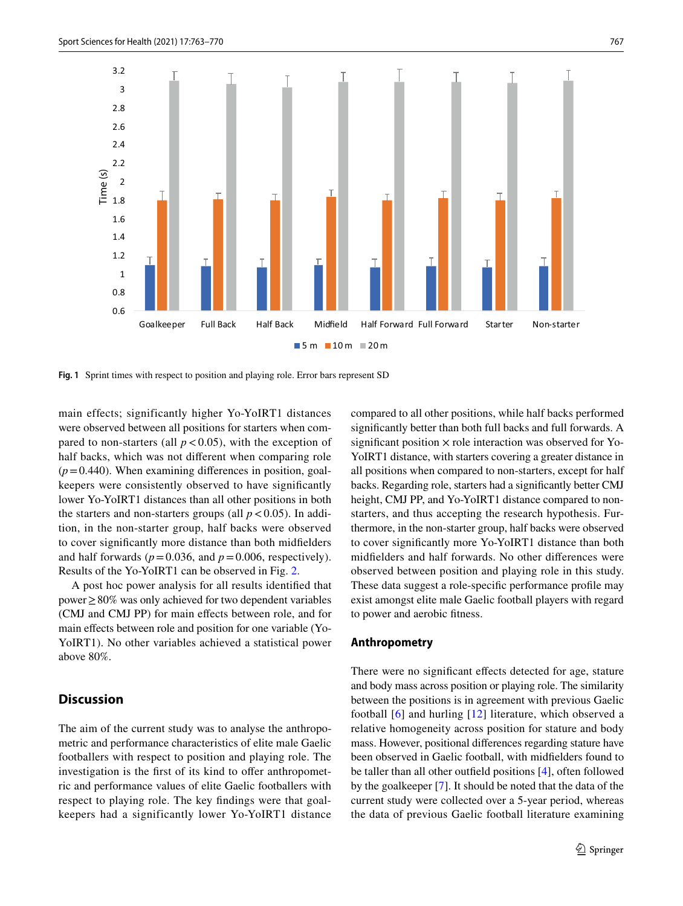

<span id="page-4-0"></span>**Fig. 1** Sprint times with respect to position and playing role. Error bars represent SD

main effects; significantly higher Yo-YoIRT1 distances were observed between all positions for starters when compared to non-starters (all  $p < 0.05$ ), with the exception of half backs, which was not diferent when comparing role  $(p=0.440)$ . When examining differences in position, goalkeepers were consistently observed to have signifcantly lower Yo-YoIRT1 distances than all other positions in both the starters and non-starters groups (all  $p < 0.05$ ). In addition, in the non-starter group, half backs were observed to cover signifcantly more distance than both midfelders and half forwards ( $p = 0.036$ , and  $p = 0.006$ , respectively). Results of the Yo-YoIRT1 can be observed in Fig. [2](#page-5-0).

A post hoc power analysis for all results identifed that power≥80% was only achieved for two dependent variables (CMJ and CMJ PP) for main efects between role, and for main effects between role and position for one variable (Yo-YoIRT1). No other variables achieved a statistical power above 80%.

# **Discussion**

The aim of the current study was to analyse the anthropometric and performance characteristics of elite male Gaelic footballers with respect to position and playing role. The investigation is the first of its kind to offer anthropometric and performance values of elite Gaelic footballers with respect to playing role. The key fndings were that goalkeepers had a significantly lower Yo-YoIRT1 distance

compared to all other positions, while half backs performed signifcantly better than both full backs and full forwards. A significant position  $\times$  role interaction was observed for Yo-YoIRT1 distance, with starters covering a greater distance in all positions when compared to non-starters, except for half backs. Regarding role, starters had a signifcantly better CMJ height, CMJ PP, and Yo-YoIRT1 distance compared to nonstarters, and thus accepting the research hypothesis. Furthermore, in the non-starter group, half backs were observed to cover signifcantly more Yo-YoIRT1 distance than both midfelders and half forwards. No other diferences were observed between position and playing role in this study. These data suggest a role-specifc performance profle may exist amongst elite male Gaelic football players with regard to power and aerobic ftness.

# **Anthropometry**

There were no significant effects detected for age, stature and body mass across position or playing role. The similarity between the positions is in agreement with previous Gaelic football [[6\]](#page-7-4) and hurling [[12](#page-7-10)] literature, which observed a relative homogeneity across position for stature and body mass. However, positional diferences regarding stature have been observed in Gaelic football, with midfelders found to be taller than all other outfeld positions [\[4\]](#page-7-3), often followed by the goalkeeper [[7\]](#page-7-5). It should be noted that the data of the current study were collected over a 5-year period, whereas the data of previous Gaelic football literature examining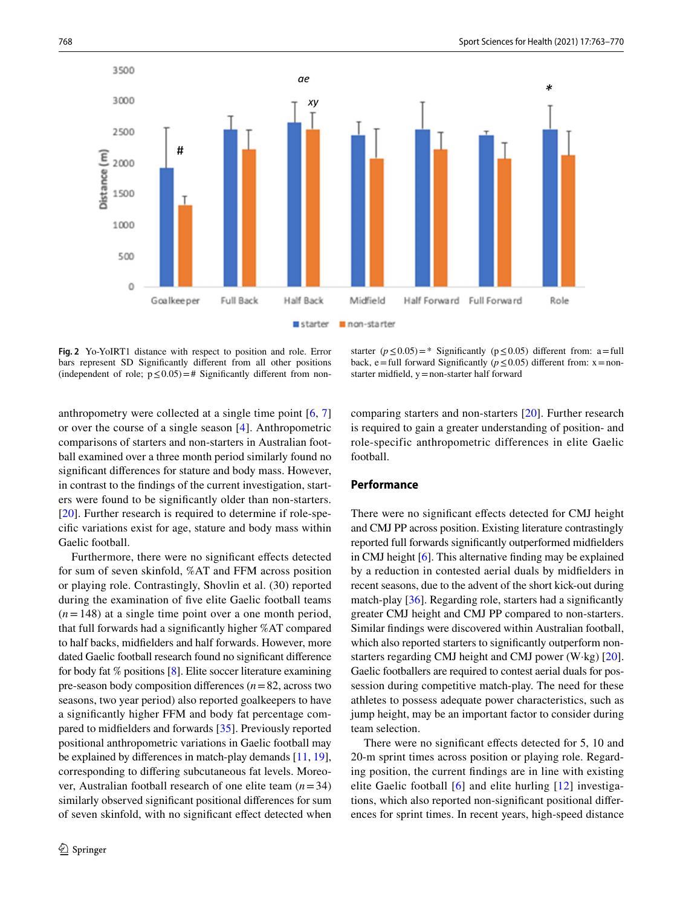

<span id="page-5-0"></span>**Fig. 2** Yo-YoIRT1 distance with respect to position and role. Error bars represent SD Signifcantly diferent from all other positions (independent of role;  $p \le 0.05$ ) = # Significantly different from non-

starter  $(p \le 0.05)$ =\* Significantly  $(p \le 0.05)$  different from: a=full back, e=full forward Significantly ( $p \le 0.05$ ) different from: x=nonstarter midfeld, y=non-starter half forward

anthropometry were collected at a single time point [\[6](#page-7-4), [7\]](#page-7-5) or over the course of a single season [\[4](#page-7-3)]. Anthropometric comparisons of starters and non-starters in Australian football examined over a three month period similarly found no signifcant diferences for stature and body mass. However, in contrast to the fndings of the current investigation, starters were found to be signifcantly older than non-starters. [\[20\]](#page-7-18). Further research is required to determine if role-specifc variations exist for age, stature and body mass within Gaelic football.

Furthermore, there were no significant effects detected for sum of seven skinfold, %AT and FFM across position or playing role. Contrastingly, Shovlin et al. (30) reported during the examination of fve elite Gaelic football teams  $(n=148)$  at a single time point over a one month period, that full forwards had a signifcantly higher %AT compared to half backs, midfelders and half forwards. However, more dated Gaelic football research found no signifcant diference for body fat % positions [\[8](#page-7-6)]. Elite soccer literature examining pre-season body composition diferences (*n*=82, across two seasons, two year period) also reported goalkeepers to have a signifcantly higher FFM and body fat percentage compared to midfelders and forwards [[35\]](#page-7-33). Previously reported positional anthropometric variations in Gaelic football may be explained by diferences in match-play demands [[11,](#page-7-9) [19](#page-7-17)], corresponding to difering subcutaneous fat levels. Moreover, Australian football research of one elite team (*n*=34) similarly observed signifcant positional diferences for sum of seven skinfold, with no signifcant efect detected when comparing starters and non-starters [\[20](#page-7-18)]. Further research is required to gain a greater understanding of position- and role-specific anthropometric differences in elite Gaelic football.

# **Performance**

There were no significant effects detected for CMJ height and CMJ PP across position. Existing literature contrastingly reported full forwards signifcantly outperformed midfelders in CMJ height [[6\]](#page-7-4). This alternative fnding may be explained by a reduction in contested aerial duals by midfelders in recent seasons, due to the advent of the short kick-out during match-play [[36\]](#page-7-34). Regarding role, starters had a signifcantly greater CMJ height and CMJ PP compared to non-starters. Similar fndings were discovered within Australian football, which also reported starters to significantly outperform nonstarters regarding CMJ height and CMJ power (W·kg) [\[20](#page-7-18)]. Gaelic footballers are required to contest aerial duals for possession during competitive match-play. The need for these athletes to possess adequate power characteristics, such as jump height, may be an important factor to consider during team selection.

There were no significant effects detected for 5, 10 and 20-m sprint times across position or playing role. Regarding position, the current fndings are in line with existing elite Gaelic football [\[6\]](#page-7-4) and elite hurling [\[12\]](#page-7-10) investigations, which also reported non-signifcant positional diferences for sprint times. In recent years, high-speed distance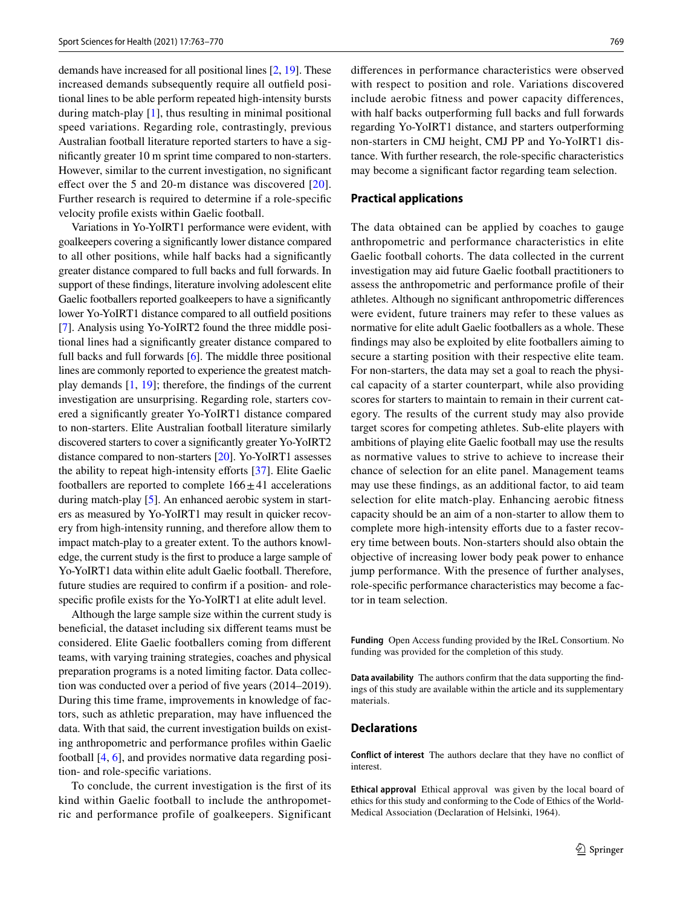demands have increased for all positional lines [\[2](#page-7-1), [19\]](#page-7-17). These increased demands subsequently require all outfeld positional lines to be able perform repeated high-intensity bursts during match-play [\[1](#page-7-0)], thus resulting in minimal positional speed variations. Regarding role, contrastingly, previous Australian football literature reported starters to have a signifcantly greater 10 m sprint time compared to non-starters. However, similar to the current investigation, no signifcant effect over the 5 and [20](#page-7-18)-m distance was discovered [20]. Further research is required to determine if a role-specifc velocity profle exists within Gaelic football.

Variations in Yo-YoIRT1 performance were evident, with goalkeepers covering a signifcantly lower distance compared to all other positions, while half backs had a signifcantly greater distance compared to full backs and full forwards. In support of these fndings, literature involving adolescent elite Gaelic footballers reported goalkeepers to have a signifcantly lower Yo-YoIRT1 distance compared to all outfeld positions [\[7](#page-7-5)]. Analysis using Yo-YoIRT2 found the three middle positional lines had a signifcantly greater distance compared to full backs and full forwards [\[6](#page-7-4)]. The middle three positional lines are commonly reported to experience the greatest matchplay demands [[1,](#page-7-0) [19](#page-7-17)]; therefore, the fndings of the current investigation are unsurprising. Regarding role, starters covered a signifcantly greater Yo-YoIRT1 distance compared to non-starters. Elite Australian football literature similarly discovered starters to cover a signifcantly greater Yo-YoIRT2 distance compared to non-starters [\[20](#page-7-18)]. Yo-YoIRT1 assesses the ability to repeat high-intensity efforts [[37\]](#page-7-35). Elite Gaelic footballers are reported to complete  $166 \pm 41$  accelerations during match-play [\[5](#page-7-36)]. An enhanced aerobic system in starters as measured by Yo-YoIRT1 may result in quicker recovery from high-intensity running, and therefore allow them to impact match-play to a greater extent. To the authors knowledge, the current study is the frst to produce a large sample of Yo-YoIRT1 data within elite adult Gaelic football. Therefore, future studies are required to confrm if a position- and rolespecific profile exists for the Yo-YoIRT1 at elite adult level.

Although the large sample size within the current study is benefcial, the dataset including six diferent teams must be considered. Elite Gaelic footballers coming from diferent teams, with varying training strategies, coaches and physical preparation programs is a noted limiting factor. Data collection was conducted over a period of five years (2014–2019). During this time frame, improvements in knowledge of factors, such as athletic preparation, may have infuenced the data. With that said, the current investigation builds on existing anthropometric and performance profles within Gaelic football [[4,](#page-7-3) [6\]](#page-7-4), and provides normative data regarding position- and role-specifc variations.

To conclude, the current investigation is the frst of its kind within Gaelic football to include the anthropometric and performance profile of goalkeepers. Significant diferences in performance characteristics were observed with respect to position and role. Variations discovered include aerobic fitness and power capacity differences, with half backs outperforming full backs and full forwards regarding Yo-YoIRT1 distance, and starters outperforming non-starters in CMJ height, CMJ PP and Yo-YoIRT1 distance. With further research, the role-specifc characteristics may become a signifcant factor regarding team selection.

### **Practical applications**

The data obtained can be applied by coaches to gauge anthropometric and performance characteristics in elite Gaelic football cohorts. The data collected in the current investigation may aid future Gaelic football practitioners to assess the anthropometric and performance profle of their athletes. Although no signifcant anthropometric diferences were evident, future trainers may refer to these values as normative for elite adult Gaelic footballers as a whole. These fndings may also be exploited by elite footballers aiming to secure a starting position with their respective elite team. For non-starters, the data may set a goal to reach the physical capacity of a starter counterpart, while also providing scores for starters to maintain to remain in their current category. The results of the current study may also provide target scores for competing athletes. Sub-elite players with ambitions of playing elite Gaelic football may use the results as normative values to strive to achieve to increase their chance of selection for an elite panel. Management teams may use these fndings, as an additional factor, to aid team selection for elite match-play. Enhancing aerobic ftness capacity should be an aim of a non-starter to allow them to complete more high-intensity efforts due to a faster recovery time between bouts. Non-starters should also obtain the objective of increasing lower body peak power to enhance jump performance. With the presence of further analyses, role-specifc performance characteristics may become a factor in team selection.

**Funding** Open Access funding provided by the IReL Consortium. No funding was provided for the completion of this study.

**Data availability** The authors confrm that the data supporting the fndings of this study are available within the article and its supplementary materials.

## **Declarations**

**Conflict of interest** The authors declare that they have no confict of interest.

**Ethical approval** Ethical approval was given by the local board of ethics for this study and conforming to the Code of Ethics of the World-Medical Association (Declaration of Helsinki, 1964).